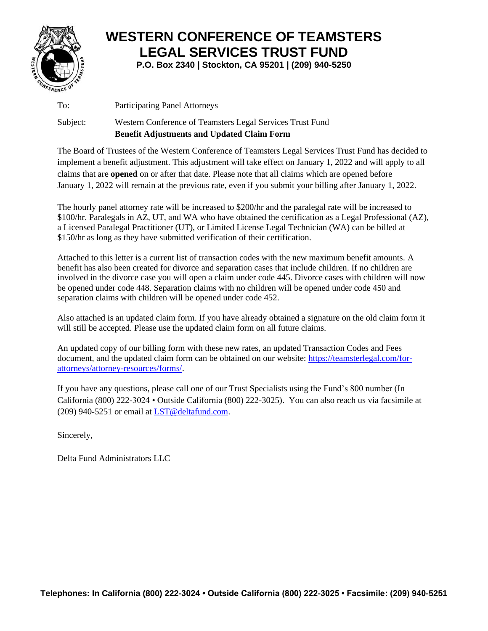

# **WESTERN CONFERENCE OF TEAMSTERS LEGAL SERVICES TRUST FUND**

**P.O. Box 2340 | Stockton, CA 95201 | (209) 940-5250**

To: Participating Panel Attorneys

#### Subject: Western Conference of Teamsters Legal Services Trust Fund **Benefit Adjustments and Updated Claim Form**

The Board of Trustees of the Western Conference of Teamsters Legal Services Trust Fund has decided to implement a benefit adjustment. This adjustment will take effect on January 1, 2022 and will apply to all claims that are **opened** on or after that date. Please note that all claims which are opened before January 1, 2022 will remain at the previous rate, even if you submit your billing after January 1, 2022.

The hourly panel attorney rate will be increased to \$200/hr and the paralegal rate will be increased to \$100/hr. Paralegals in AZ, UT, and WA who have obtained the certification as a Legal Professional (AZ), a Licensed Paralegal Practitioner (UT), or Limited License Legal Technician (WA) can be billed at \$150/hr as long as they have submitted verification of their certification.

Attached to this letter is a current list of transaction codes with the new maximum benefit amounts. A benefit has also been created for divorce and separation cases that include children. If no children are involved in the divorce case you will open a claim under code 445. Divorce cases with children will now be opened under code 448. Separation claims with no children will be opened under code 450 and separation claims with children will be opened under code 452.

Also attached is an updated claim form. If you have already obtained a signature on the old claim form it will still be accepted. Please use the updated claim form on all future claims.

An updated copy of our billing form with these new rates, an updated Transaction Codes and Fees document, and the updated claim form can be obtained on our website: [https://teamsterlegal.com/for](https://teamsterlegal.com/for-attorneys/attorney-resources/forms/)[attorneys/attorney-resources/forms/.](https://teamsterlegal.com/for-attorneys/attorney-resources/forms/)

If you have any questions, please call one of our Trust Specialists using the Fund's 800 number (In California (800) 222-3024 • Outside California (800) 222-3025). You can also reach us via facsimile at (209) 940-5251 or email at [LST@deltafund.com.](mailto:LST@deltafund.com)

Sincerely,

Delta Fund Administrators LLC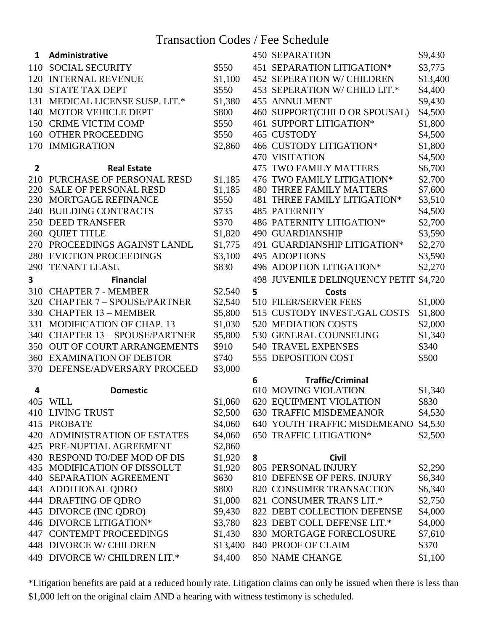### Transaction Codes / Fee Schedule

| 1              | Administrative                                                |                    |   | <b>450 SEPARATION</b>                         | \$9,430 |
|----------------|---------------------------------------------------------------|--------------------|---|-----------------------------------------------|---------|
| 110            | <b>SOCIAL SECURITY</b>                                        | \$550              |   | 451 SEPARATION LITIGATION*                    | \$3,775 |
| 120            | <b>INTERNAL REVENUE</b>                                       | \$1,100            |   | <b>452 SEPERATION W/ CHILDREN</b><br>\$13,400 |         |
| 130            | <b>STATE TAX DEPT</b>                                         | \$550              |   | \$4,400<br>453 SEPERATION W/ CHILD LIT.*      |         |
| 131            | MEDICAL LICENSE SUSP. LIT.*                                   | \$1,380            |   | \$9,430<br><b>455 ANNULMENT</b>               |         |
| 140            | <b>MOTOR VEHICLE DEPT</b>                                     | \$800              |   | 460 SUPPORT(CHILD OR SPOUSAL)                 | \$4,500 |
| 150            | <b>CRIME VICTIM COMP</b>                                      | \$550              |   | 461 SUPPORT LITIGATION*                       | \$1,800 |
| 160            | <b>OTHER PROCEEDING</b>                                       | \$550              |   | 465 CUSTODY                                   | \$4,500 |
| 170            | <b>IMMIGRATION</b>                                            | \$2,860            |   | 466 CUSTODY LITIGATION*                       | \$1,800 |
|                |                                                               |                    |   | <b>470 VISITATION</b>                         | \$4,500 |
| $\overline{2}$ | <b>Real Estate</b>                                            |                    |   | <b>475 TWO FAMILY MATTERS</b>                 | \$6,700 |
| 210            | PURCHASE OF PERSONAL RESD                                     | \$1,185            |   | 476 TWO FAMILY LITIGATION*                    | \$2,700 |
| 220            | <b>SALE OF PERSONAL RESD</b>                                  | \$1,185            |   | <b>480 THREE FAMILY MATTERS</b>               | \$7,600 |
| 230            | MORTGAGE REFINANCE                                            | \$550              |   | 481 THREE FAMILY LITIGATION*                  | \$3,510 |
| 240            | <b>BUILDING CONTRACTS</b>                                     | \$735              |   | <b>485 PATERNITY</b>                          | \$4,500 |
| 250            | <b>DEED TRANSFER</b>                                          | \$370              |   | 486 PATERNITY LITIGATION*                     | \$2,700 |
| 260            | <b>QUIET TITLE</b>                                            | \$1,820            |   | <b>490 GUARDIANSHIP</b>                       | \$3,590 |
| 270            | PROCEEDINGS AGAINST LANDL                                     | \$1,775            |   | 491 GUARDIANSHIP LITIGATION*                  | \$2,270 |
| 280            | <b>EVICTION PROCEEDINGS</b>                                   | \$3,100            |   | 495 ADOPTIONS                                 | \$3,590 |
| 290            | <b>TENANT LEASE</b>                                           | \$830              |   | 496 ADOPTION LITIGATION*                      | \$2,270 |
| 3              | <b>Financial</b>                                              |                    |   | 498 JUVENILE DELINQUENCY PETIT                | \$4,720 |
| 310            | <b>CHAPTER 7 - MEMBER</b>                                     | \$2,540            | 5 | <b>Costs</b>                                  |         |
| 320            | <b>CHAPTER 7 - SPOUSE/PARTNER</b>                             | \$2,540            |   | 510 FILER/SERVER FEES                         | \$1,000 |
| 330            | <b>CHAPTER 13 - MEMBER</b>                                    | \$5,800            |   | 515 CUSTODY INVEST./GAL COSTS                 | \$1,800 |
| 331            | <b>MODIFICATION OF CHAP. 13</b>                               | \$1,030            |   | 520 MEDIATION COSTS                           | \$2,000 |
| 340            | <b>CHAPTER 13 - SPOUSE/PARTNER</b>                            | \$5,800            |   | 530 GENERAL COUNSELING                        | \$1,340 |
| 350            | OUT OF COURT ARRANGEMENTS                                     | \$910              |   | <b>540 TRAVEL EXPENSES</b><br>\$340           |         |
| 360            | <b>EXAMINATION OF DEBTOR</b>                                  | \$740              |   | 555 DEPOSITION COST                           | \$500   |
| 370            | DEFENSE/ADVERSARY PROCEED                                     | \$3,000            |   |                                               |         |
|                |                                                               |                    | 6 | <b>Traffic/Criminal</b>                       |         |
| 4              | <b>Domestic</b>                                               |                    |   | 610 MOVING VIOLATION                          | \$1,340 |
|                | 405 WILL                                                      | \$1,060            |   | 620 EQUIPMENT VIOLATION                       | \$830   |
|                | <b>410 LIVING TRUST</b>                                       | \$2,500            |   | <b>630 TRAFFIC MISDEMEANOR</b>                | \$4,530 |
|                | 415 PROBATE                                                   | \$4,060            |   | 640 YOUTH TRAFFIC MISDEMEANO                  | \$4,530 |
|                | 420 ADMINISTRATION OF ESTATES                                 | \$4,060            |   | 650 TRAFFIC LITIGATION*                       | \$2,500 |
|                | 425 PRE-NUPTIAL AGREEMENT                                     | \$2,860            |   |                                               |         |
|                | 430 RESPOND TO/DEF MOD OF DIS<br>435 MODIFICATION OF DISSOLUT | \$1,920<br>\$1,920 | 8 | <b>Civil</b><br><b>805 PERSONAL INJURY</b>    | \$2,290 |
| 440            | <b>SEPARATION AGREEMENT</b>                                   | \$630              |   | 810 DEFENSE OF PERS. INJURY                   | \$6,340 |
| 443            | ADDITIONAL QDRO                                               | \$800              |   | 820 CONSUMER TRANSACTION                      | \$6,340 |
| 444            | DRAFTING OF QDRO                                              | \$1,000            |   | 821 CONSUMER TRANS LIT.*                      | \$2,750 |
|                | 445 DIVORCE (INC QDRO)                                        | \$9,430            |   | 822 DEBT COLLECTION DEFENSE                   | \$4,000 |
|                | 446 DIVORCE LITIGATION*                                       | \$3,780            |   | 823 DEBT COLL DEFENSE LIT.*                   | \$4,000 |
|                | <b>447 CONTEMPT PROCEEDINGS</b>                               | \$1,430            |   | 830 MORTGAGE FORECLOSURE                      | \$7,610 |
|                | 448 DIVORCE W/ CHILDREN                                       | \$13,400           |   | 840 PROOF OF CLAIM                            | \$370   |
| 449            | DIVORCE W/ CHILDREN LIT.*                                     | \$4,400            |   | 850 NAME CHANGE                               | \$1,100 |

\*Litigation benefits are paid at a reduced hourly rate. Litigation claims can only be issued when there is less than \$1,000 left on the original claim AND a hearing with witness testimony is scheduled.